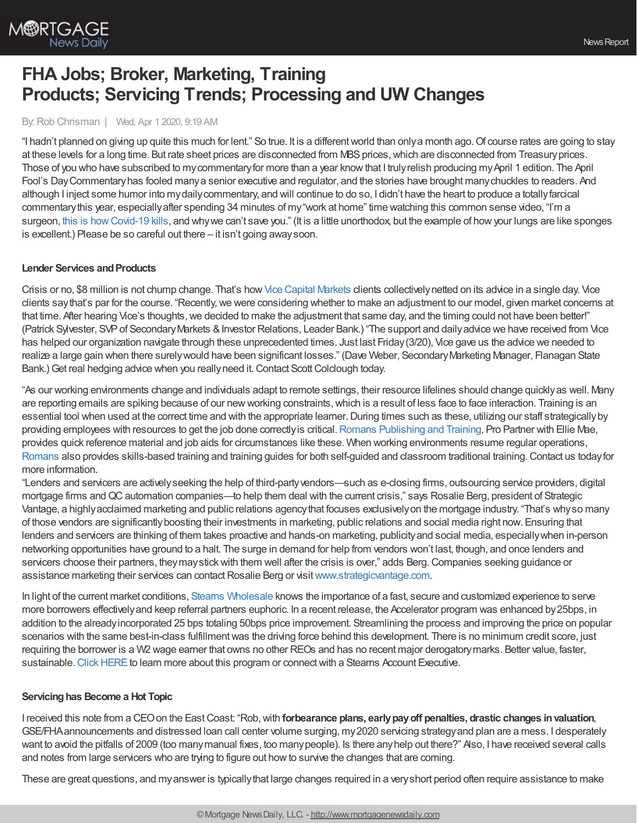

# **FHA Jobs; Broker, Marketing, Training Products; Servicing Trends; Processing and UW Changes**

By: Rob Chrisman | Wed, Apr 1 2020, 9:19 AM

"I hadn't planned on giving up quite this much for lent." So true. It is a different world than only a month ago. Of course rates are going to stay at these levels for a long time. But rate sheet prices are disconnected from MBS prices, which are disconnected from Treasury prices. Those of you who have subscribed to my commentary for more than a year know that I truly relish producing my April 1 edition. The April Fool's DayCommentaryhas fooled manya senior executive and regulator, and the stories have brought manychuckles to readers. And although I inject some humor into mydailycommentary, and will continue to do so, I didn't have the heart to produce a totallyfarcical commentarythis year, especiallyafter spending 34 minutes of my"work at home" time watching this common sense video, "I'm a surgeon, this is [howCovid-19](https://www.youtube.com/watch?feature=youtu.be&v=4J0d59dd-qM&app=desktop) kills, and whywe can't save you." (It is a little unorthodox, but the example of howyour lungs are like sponges is excellent.) Please be so careful out there – it isn't going awaysoon.

#### **Lender Services and Products**

Crisis or no, \$8 million is not chump change. That's how Vice Capital [Markets](https://www.vicecapitalmarkets.com/) clients collectively netted on its advice in a single day. Vice clients say that's par for the course. "Recently, we were considering whether to make an adjustment to our model, given market concerns at that time. After hearing Vice's thoughts,we decided to make the adjustment that same day, and the timing could not have been better!" (Patrick Sylvester, SVP of Secondary Markets & Investor Relations, Leader Bank.) "The support and daily advice we have received from Vice has helped our organization navigate through these unprecedented times. Just last Friday(3/20), Vice gave us the advice we needed to realize a large gain when there surely would have been significant losses." (Dave Weber, Secondary Marketing Manager, Flanagan State Bank.) Get real hedging advice when you really need it. Contact Scott Colclough today.

"As our working environments change and individuals adapt to remote settings, their resource lifelines should change quicklyas well. Many are reporting emails are spiking because of our newworking constraints,which is a result of less face to face interaction. Training is an essential tool when used at the correct time and with the appropriate learner. During times such as these, utilizing our staff strategically by providing employees with resources to get the job done correctly is critical. Romans [Publishing](http://www.romanspublishingandtraining.com/) and Training, Pro Partner with Ellie Mae, provides quick reference material and job aids for circumstances like these. When working environments resume regular operations, [Romans](http://www.romanspublishingandtraining.com/) also provides skills-based training and training guides for both self-guided and classroom traditional training.Contact us todayfor more information.

"Lenders and servicers are activelyseeking the help of third-partyvendors—such as e-closing firms, outsourcing service providers, digital mortgage firms and QC automation companies—to help them deal with the current crisis," says Rosalie Berg, president of Strategic Vantage, a highlyacclaimed marketing and public relations agencythat focuses exclusivelyon the mortgage industry. "That's whyso many of those vendors are significantlyboosting their investments in marketing, public relations and social media right now. Ensuring that lenders and servicers are thinking of them takes proactive and hands-on marketing, publicity and social media, especially when in-person networking opportunities have ground to a halt. The surge in demand for help from vendors won't last, though, and once lenders and servicers choose their partners, they may stick with them well after the crisis is over," adds Berg. Companies seeking guidance or assistance marketing their services can contact Rosalie Berg or visit [www.strategicvantage.com](http://www.strategicvantage.com/).

In light of the current market conditions, Stearns [Wholesale](https://www.stearnswholesale.com/) knows the importance of a fast, secure and customized experience to serve more borrowers effectivelyand keep referral partners euphoric. In a recent release, the Accelerator program was enhanced by25bps, in addition to the alreadyincorporated 25 bps totaling 50bps price improvement. Streamlining the process and improving the price on popular scenarios with the same best-in-class fulfillment was the driving force behind this development. There is no minimum credit score, just requiring the borrower is a W2 wage earner that owns no other REOs and has no recent major derogatorymarks. Better value, faster, sustainable. Click HERE to learn more about this program or connect with a Stearns Account Executive.

#### **Servicinghas Become a Hot Topic**

I received this note from a CEOon the EastCoast: "Rob,with **forbearance plans, earlypayoff penalties, drastic changes invaluation**, GSE/FHAannouncements and distressed loan call center volume surging, my2020 servicing strategyand plan are a mess. I desperately want to avoid the pitfalls of 2009 (too many manual fixes, too many people). Is there any help out there?" Also, I have received several calls and notes from large servicers who are trying to figure out howto survive the changes that are coming.

These are great questions, and myanswer is typicallythat large changes required in a veryshort period often require assistance to make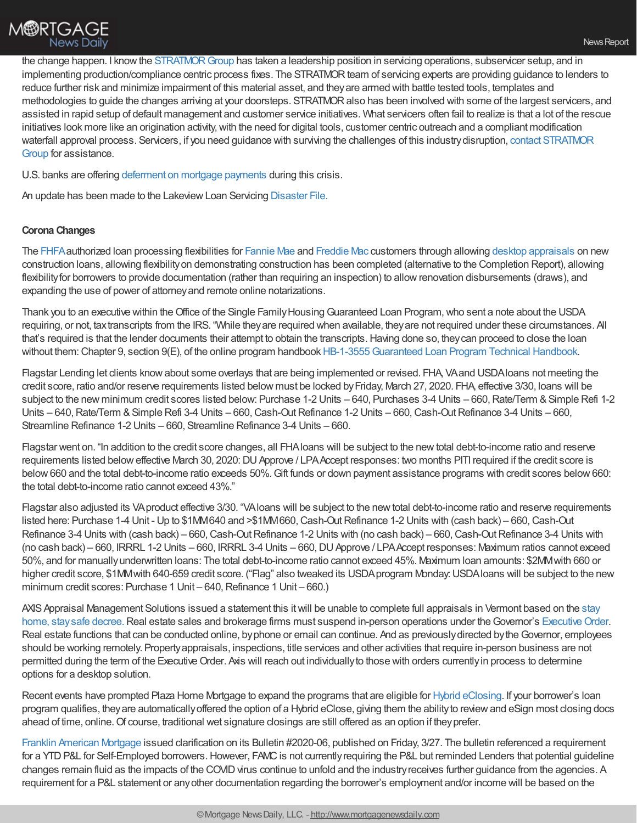the change happen. I know the STRATMOR Group has taken a leadership position in servicing operations, subservicer setup, and in implementing production/compliance centric process fixes. The STRATMOR team of servicing experts are providing guidance to lenders to reduce further risk and minimize impairment of this material asset, and theyare armed with battle tested tools, templates and methodologies to guide the changes arriving at your doorsteps. STRATMOR also has been involved with some of the largest servicers, and assisted in rapid setup of default management and customer service initiatives. What servicers often fail to realize is that a lot of the rescue initiatives look more like an origination activity, with the need for digital tools, customer centric outreach and a compliant modification waterfall approval process. Servicers, if you need guidance with surviving the challenges of this [industrydisruption,](https://www.stratmorgroup.com/contact-us/) contact STRATMOR Group for assistance.

U.S. banks are offering [deferment](https://www.forbes.com/sites/andrewdepietro/2020/03/31/banks-deferment-mortgage-coronavirus/#501cc06b56d7) on mortgage payments during this crisis.

An update has been made to the Lakeview Loan Servicing [Disaster](https://files.constantcontact.com/04292f09501/39157248-10ae-4208-bd0c-3dc1a03f213b.pdf) File.

#### **Corona Changes**

The [FHFA](https://www.fhfa.gov/Media/PublicAffairs/Pages/FHFA-Authorizes-Loan-Processing-Flexibilities-for-Fannie-and-Freddie.aspx?utm_source=civicrm&utm_medium=email&utm_campaign=website)authorized loan processing flexibilities for [Fannie](https://singlefamily.fanniemae.com/media/22316/display) Mae and [Freddie](https://guide.freddiemac.com/app/guide/bulletin/2020-8) Mac customers through allowing desktop [appraisals](https://singlefamily.fanniemae.com/media/22321/display) on new construction loans, allowing flexibilityon demonstrating construction has been completed (alternative to the Completion Report), allowing flexibility for borrowers to provide documentation (rather than requiring an inspection) to allow renovation disbursements (draws), and expanding the use of power of attorneyand remote online notarizations.

Thank you to an executive within the Office of the Single Family Housing Guaranteed Loan Program, who sent a note about the USDA requiring, or not, taxtranscripts from the IRS. "While theyare required when available, theyare not required under these circumstances. All that's required is that the lender documents their attempt to obtain the transcripts.Having done so, theycan proceed to close the loan without them: Chapter 9, section 9(E), of the online program handbook HB-1-3555 Guaranteed Loan Program Technical Handbook.

Flagstar Lending let clients knowabout some overlays that are being implemented or revised. FHA, VAand USDAloans not meeting the credit score, ratio and/or reserve requirements listed below must be locked by Friday, March 27, 2020. FHA, effective 3/30, loans will be subject to the new minimum credit scores listed below: Purchase 1-2 Units – 640, Purchases 3-4 Units – 660, Rate/Term & Simple Refi 1-2 Units – 640, Rate/Term & Simple Refi 3-4 Units – 660, Cash-Out Refinance 1-2 Units – 660, Cash-Out Refinance 3-4 Units – 660, Streamline Refinance 1-2 Units – 660, Streamline Refinance 3-4 Units – 660.

Flagstar went on. "In addition to the credit score changes, all FHAloans will be subject to the newtotal debt-to-income ratio and reserve requirements listed below effective March 30, 2020: DU Approve / LPA Accept responses: two months PITI required if the credit score is below660 and the total debt-to-income ratio exceeds 50%.Gift funds or down payment assistance programs with credit scores below660: the total debt-to-income ratio cannot exceed 43%."

Flagstar also adjusted its VAproduct effective 3/30. "VAloans will be subject to the newtotal debt-to-income ratio and reserve requirements listed here: Purchase 1-4 Unit - Up to \$1MM640 and >\$1MM660, Cash-Out Refinance 1-2 Units with (cash back) – 660, Cash-Out Refinance 3-4 Units with (cash back) – 660, Cash-Out Refinance 1-2 Units with (no cash back) – 660, Cash-Out Refinance 3-4 Units with (no cash back) – 660, IRRRL 1-2 Units – 660, IRRRL 3-4 Units – 660, DU Approve / LPA Accept responses: Maximum ratios cannot exceed 50%, and for manuallyunderwritten loans: The total debt-to-income ratio cannot exceed 45%. Maximum loan amounts: \$2MMwith 660 or higher credit score, \$1MM with 640-659 credit score. ("Flag" also tweaked its USDA program Monday: USDA loans will be subject to the new minimum credit scores: Purchase 1 Unit – 640, Refinance 1 Unit – 660.)

AXIS Appraisal Management Solutions issued a statement this it will be unable to complete full appraisals in Vermont based on the stay home, stay safe decree. Real estate sales and brokerage firms must suspend in-person operations under the Governor's Executive Order. Real estate functions that can be conducted online, byphone or email can continue. And as previouslydirected bytheGovernor, employees should be working remotely. Propertyappraisals, inspections, title services and other activities that require in-person business are not permitted during the term of the ExecutiveOrder. Axis will reach out individuallyto those with orders currentlyin process to determine options for a desktop solution.

Recent events have prompted Plaza Home Mortgage to expand the programs that are eligible for Hybrid [eClosing](https://info.plazahomemortgage.com/hybrid-eclose). If your borrower's loan program qualifies, they are automatically offered the option of a Hybrid eClose, giving them the ability to review and eSign most closing docs ahead of time, online. Of course, traditional wet signature closings are still offered as an option if they prefer.

Franklin [American](https://www.franklinamerican.com/lending-partners/wholesale) Mortgage issued clarification on its Bulletin #2020-06, published on Friday, 3/27. The bulletin referenced a requirement for a YTD P&L for Self-Employed borrowers. However, FAMC is not currently requiring the P&L but reminded Lenders that potential guideline changes remain fluid as the impacts of the COVID virus continue to unfold and the industry receives further guidance from the agencies. A requirement for a P&L statement or anyother documentation regarding the borrower's employment and/or income will be based on the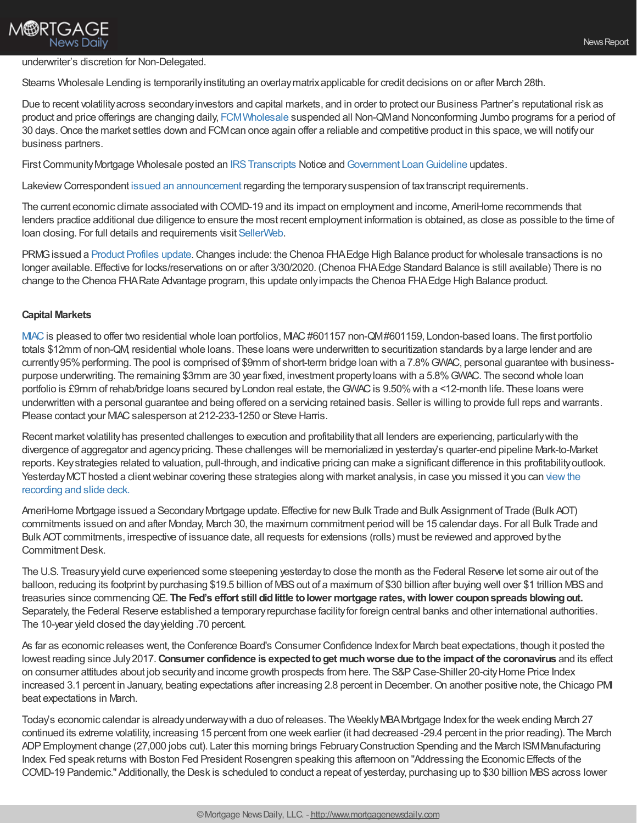## **M®RTGAGE News Daily**

#### underwriter's discretion for Non-Delegated.

Stearns Wholesale Lending is temporarilyinstituting an overlaymatrixapplicable for credit decisions on or after March 28th.

Due to recent volatilityacross secondaryinvestors and capital markets, and in order to protect our Business Partner's reputational risk as product and price offerings are changing daily, [FCMWholesale](https://www.fcmpartners.com/) suspended all Non-QMand Nonconforming Jumbo programs for a period of 30 days. Once the market settles down and FCMcan once again offer a reliable and competitive product in this space, we will notify our business partners.

First Community Mortgage Wholesale posted an IRS Transcripts Notice and Government Loan Guideline updates.

Lakeview Correspondent issued an [announcement](https://files.constantcontact.com/04292f09501/075b3a7b-a83a-4245-ac99-2a3ba339539e.pdf) regarding the temporary suspension of tax transcript requirements.

The current economic climate associated with COVID-19 and its impact on employment and income, AmeriHome recommends that lenders practice additional due diligence to ensure the most recent employment information is obtained, as close as possible to the time of loan closing. For full details and requirements visit [SellerWeb](https://go.correspondent.amerihome.com/e/706323/Account-Login-ReturnUrl-2F/2yhq8/110676089?h=ZwcUUVC_-6JrdfrkpFoPhddgihRVcV6-GhzI4g96RHM).

PRMGissued a [Product](http://www.eprmg.net/guidelines/Product%20Profile%20Updates.pdf) Profiles update.Changes include: the Chenoa FHAEdge High Balance product for wholesale transactions is no longer available. Effective for locks/reservations on or after 3/30/2020. (Chenoa FHAEdge Standard Balance is still available) There is no change to the Chenoa FHARate Advantage program, this update onlyimpacts the Chenoa FHAEdge High Balance product.

#### **Capital Markets**

[MIAC](http://www.miacanalytics.com/productsandsolutions/asset-sales-advisory/) is pleased to offer two residential whole loan portfolios, MIAC #601157 non-QM#601159, London-based loans. The first portfolio totals \$12mm of non-QM, residential whole loans. These loans were underwritten to securitization standards bya large lender and are currently 95% performing. The pool is comprised of \$9mm of short-term bridge loan with a 7.8% GWAC, personal guarantee with businesspurpose underwriting. The remaining \$3mm are 30 year fixed, investment propertyloans with a 5.8%GWAC. The second whole loan portfolio is £9mm of rehab/bridge loans secured by London real estate, the GWAC is 9.50% with a <12-month life. These loans were underwritten with a personal guarantee and being offered on a servicing retained basis. Seller is willing to provide full reps and warrants. Please contact your MAC salesperson at 212-233-1250 or Steve Harris.

Recent market volatility has presented challenges to execution and profitability that all lenders are experiencing, particularly with the divergence of aggregator and agencypricing. These challenges will be memorialized in yesterday's quarter-end pipeline Mark-to-Market reports. Keystrategies related to valuation, pull-through, and indicative pricing can make a significant difference in this profitabilityoutlook. Yesterday MCT hosted a client webinar covering these strategies along with market analysis, in case you missed it you can view the recording and slide deck.

AmeriHome Mortgage issued a Secondary Mortgage update. Effective for new Bulk Trade and Bulk Assignment of Trade (Bulk AOT) commitments issued on and after Monday, March 30, the maximum commitment period will be 15 calendar days. For all Bulk Trade and Bulk AOTcommitments, irrespective of issuance date, all requests for extensions (rolls) must be reviewed and approved bythe Commitment Desk.

The U.S. Treasuryyield curve experienced some steepening yesterdayto close the month as the Federal Reserve let some air out of the balloon, reducing its footprint by purchasing \$19.5 billion of MBS out of a maximum of \$30 billion after buying well over \$1 trillion MBS and treasuries since commencingQE. **The Fed's effort still didlittle tolower mortgage rates,withlower couponspreads blowingout.** Separately, the Federal Reserve established a temporaryrepurchase facilityfor foreign central banks and other international authorities. The 10-year yield closed the dayyielding .70 percent.

As far as economic releases went, the Conference Board's Consumer Confidence Indexfor March beat expectations, though it posted the lowest reading since July2017.**Consumer confidence is expectedtoget muchworse due tothe impact of the coronavirus** and its effect on consumer attitudes about job security and income growth prospects from here. The S&P Case-Shiller 20-city Home Price Index increased 3.1 percent in January, beating expectations after increasing 2.8 percent in December. On another positive note, the Chicago PMI beat expectations in March.

Today's economic calendar is alreadyunderwaywith a duo of releases. The WeeklyMBAMortgage Indexfor the week ending March 27 continued its extreme volatility, increasing 15 percent from one week earlier (it had decreased -29.4 percent in the prior reading). The March ADPEmployment change (27,000 jobs cut). Later this morning brings FebruaryConstruction Spending and the March ISMManufacturing Index. Fed speak returns with Boston Fed President Rosengren speaking this afternoon on "Addressing the Economic Effects of the COVID-19 Pandemic." Additionally, the Desk is scheduled to conduct a repeat of yesterday, purchasing up to \$30 billion MBS across lower